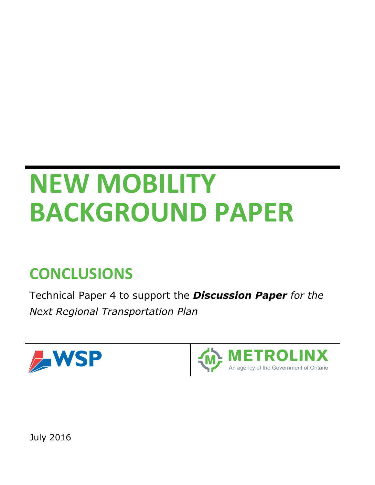# **NEW MOBILITY BACKGROUND PAPER**

## **CONCLUSIONS**

Technical Paper 4 to support the *Discussion Paper for the Next Regional Transportation Plan*





July 2016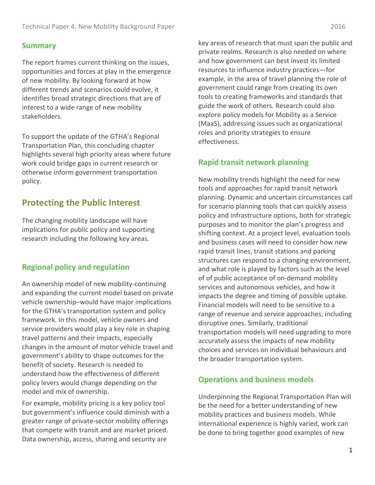#### **Summary**

The report frames current thinking on the issues, opportunities and forces at play in the emergence of new mobility. By looking forward at how different trends and scenarios could evolve, it identifies broad strategic directions that are of interest to a wide range of new mobility stakeholders.

To support the update of the GTHA's Regional Transportation Plan, this concluding chapter highlights several high priority areas where future work could bridge gaps in current research or otherwise inform government transportation policy.

### **Protecting the Public Interest**

The changing mobility landscape will have implications for public policy and supporting research including the following key areas.

#### **Regional policy and regulation**

An ownership model of new mobility-continuing and expanding the current model based on private vehicle ownership–would have major implications for the GTHA's transportation system and policy framework. In this model, vehicle owners and service providers would play a key role in shaping travel patterns and their impacts, especially changes in the amount of motor vehicle travel and government's ability to shape outcomes for the benefit of society. Research is needed to understand how the effectiveness of different policy levers would change depending on the model and mix of ownership.

For example, mobility pricing is a key policy tool but government's influence could diminish with a greater range of private-sector mobility offerings that compete with transit and are market priced. Data ownership, access, sharing and security are

key areas of research that must span the public and private realms. Research is also needed on where and how government can best invest its limited resources to influence industry practices—for example, in the area of travel planning the role of government could range from creating its own tools to creating frameworks and standards that guide the work of others. Research could also explore policy models for Mobility as a Service (MaaS), addressing issues such as organizational roles and priority strategies to ensure effectiveness.

#### **Rapid transit network planning**

New mobility trends highlight the need for new tools and approaches for rapid transit network planning. Dynamic and uncertain circumstances call for scenario planning tools that can quickly assess policy and infrastructure options, both for strategic purposes and to monitor the plan's progress and shifting context. At a project level, evaluation tools and business cases will need to consider how new rapid transit lines, transit stations and parking structures can respond to a changing environment, and what role is played by factors such as the level of of public acceptance of on-demand mobility services and autonomous vehicles, and how it impacts the degree and timing of possible uptake. Financial models will need to be sensitive to a range of revenue and service approaches, including disruptive ones. Similarly, traditional transportation models will need upgrading to more accurately assess the impacts of new mobility choices and services on individual behaviours and the broader transportation system.

#### **Operations and business models**

Underpinning the Regional Transportation Plan will be the need for a better understanding of new mobility practices and business models. While international experience is highly varied, work can be done to bring together good examples of new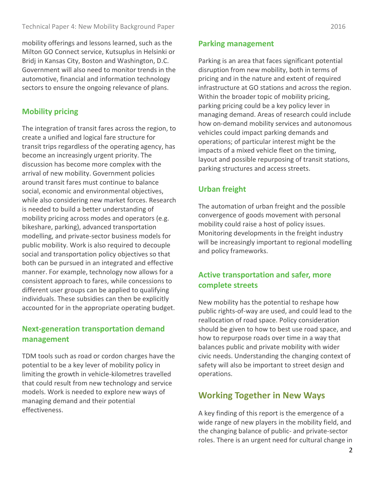mobility offerings and lessons learned, such as the Milton GO Connect service, Kutsuplus in Helsinki or Bridj in Kansas City, Boston and Washington, D.C. Government will also need to monitor trends in the automotive, financial and information technology sectors to ensure the ongoing relevance of plans.

#### **Mobility pricing**

The integration of transit fares across the region, to create a unified and logical fare structure for transit trips regardless of the operating agency, has become an increasingly urgent priority. The discussion has become more complex with the arrival of new mobility. Government policies around transit fares must continue to balance social, economic and environmental objectives, while also considering new market forces. Research is needed to build a better understanding of mobility pricing across modes and operators (e.g. bikeshare, parking), advanced transportation modelling, and private-sector business models for public mobility. Work is also required to decouple social and transportation policy objectives so that both can be pursued in an integrated and effective manner. For example, technology now allows for a consistent approach to fares, while concessions to different user groups can be applied to qualifying individuals. These subsidies can then be explicitly accounted for in the appropriate operating budget.

#### **Next-generation transportation demand management**

TDM tools such as road or cordon charges have the potential to be a key lever of mobility policy in limiting the growth in vehicle-kilometres travelled that could result from new technology and service models. Work is needed to explore new ways of managing demand and their potential effectiveness.

#### **Parking management**

Parking is an area that faces significant potential disruption from new mobility, both in terms of pricing and in the nature and extent of required infrastructure at GO stations and across the region. Within the broader topic of mobility pricing, parking pricing could be a key policy lever in managing demand. Areas of research could include how on-demand mobility services and autonomous vehicles could impact parking demands and operations; of particular interest might be the impacts of a mixed vehicle fleet on the timing, layout and possible repurposing of transit stations, parking structures and access streets.

#### **Urban freight**

The automation of urban freight and the possible convergence of goods movement with personal mobility could raise a host of policy issues. Monitoring developments in the freight industry will be increasingly important to regional modelling and policy frameworks.

#### **Active transportation and safer, more complete streets**

New mobility has the potential to reshape how public rights-of-way are used, and could lead to the reallocation of road space. Policy consideration should be given to how to best use road space, and how to repurpose roads over time in a way that balances public and private mobility with wider civic needs. Understanding the changing context of safety will also be important to street design and operations.

#### **Working Together in New Ways**

A key finding of this report is the emergence of a wide range of new players in the mobility field, and the changing balance of public- and private-sector roles. There is an urgent need for cultural change in